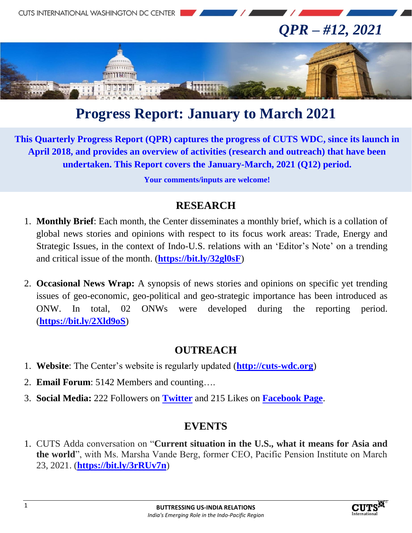

# **Progress Report: January to March 2021**

**This Quarterly Progress Report (QPR) captures the progress of CUTS WDC, since its launch in April 2018, and provides an overview of activities (research and outreach) that have been undertaken. This Report covers the January-March, 2021 (Q12) period.**

**Your comments/inputs are welcome!**

#### **RESEARCH**

- 1. **Monthly Brief**: Each month, the Center disseminates a monthly brief, which is a collation of global news stories and opinions with respect to its focus work areas: Trade, Energy and Strategic Issues, in the context of Indo-U.S. relations with an 'Editor's Note' on a trending and critical issue of the month. (**<https://bit.ly/32gl0sF>**)
- 2. **Occasional News Wrap:** A synopsis of news stories and opinions on specific yet trending issues of geo-economic, geo-political and geo-strategic importance has been introduced as ONW. In total, 02 ONWs were developed during the reporting period. (**<https://bit.ly/2Xld9oS>**)

### **OUTREACH**

- 1. **Website**: The Center's website is regularly updated (**[http://cuts-wdc.org](http://cuts-wdc.org/)**)
- 2. **Email Forum**: 5142 Members and counting….
- 3. **Social Media:** 222 Followers on **[Twitter](https://twitter.com/cutswdc)** and 215 Likes on **[Facebook Page](https://www.facebook.com/cutswdc)**.

### **EVENTS**

1. CUTS Adda conversation on "**Current situation in the U.S., what it means for Asia and the world**", with Ms. Marsha Vande Berg, former CEO, Pacific Pension Institute on March 23, 2021. (**<https://bit.ly/3rRUv7n>**)